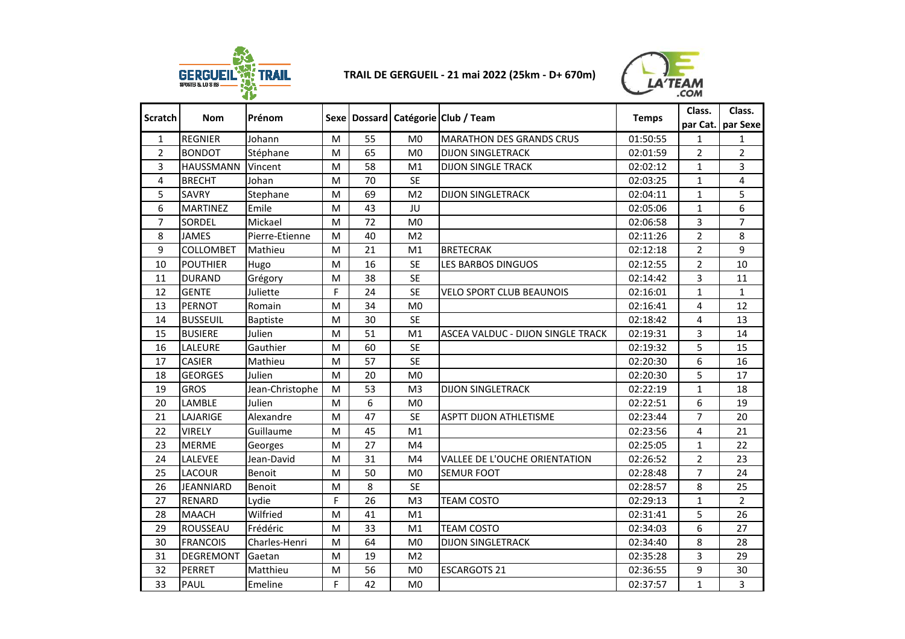

## **TRAIL DE GERGUEIL - 21 mai 2022 (25km - D+ 670m)**



| <b>Scratch</b> | <b>Nom</b>       | Prénom          |   |    |                | Sexe   Dossard   Catégorie   Club / Team | <b>Temps</b> | Class.         | Class.<br>par Cat. par Sexe |
|----------------|------------------|-----------------|---|----|----------------|------------------------------------------|--------------|----------------|-----------------------------|
| $\mathbf{1}$   | <b>REGNIER</b>   | Johann          | M | 55 | M <sub>0</sub> | <b>MARATHON DES GRANDS CRUS</b>          | 01:50:55     | $\mathbf{1}$   | 1                           |
| $\overline{2}$ | <b>BONDOT</b>    | Stéphane        | M | 65 | M <sub>0</sub> | <b>DIJON SINGLETRACK</b>                 | 02:01:59     | $\overline{2}$ | $\overline{2}$              |
| 3              | <b>HAUSSMANN</b> | Vincent         | M | 58 | M <sub>1</sub> | <b>DIJON SINGLE TRACK</b>                | 02:02:12     | $\mathbf{1}$   | 3                           |
| 4              | <b>BRECHT</b>    | Johan           | M | 70 | <b>SE</b>      |                                          | 02:03:25     | $\mathbf{1}$   | 4                           |
| 5              | <b>SAVRY</b>     | Stephane        | M | 69 | M <sub>2</sub> | <b>DIJON SINGLETRACK</b>                 | 02:04:11     | $\mathbf{1}$   | 5                           |
| 6              | <b>MARTINEZ</b>  | Emile           | M | 43 | JU             |                                          | 02:05:06     | $\mathbf{1}$   | 6                           |
| $\overline{7}$ | <b>SORDEL</b>    | Mickael         | M | 72 | M <sub>0</sub> |                                          | 02:06:58     | 3              | $\overline{7}$              |
| 8              | <b>JAMES</b>     | Pierre-Etienne  | M | 40 | M <sub>2</sub> |                                          | 02:11:26     | $\overline{2}$ | 8                           |
| 9              | <b>COLLOMBET</b> | Mathieu         | M | 21 | M <sub>1</sub> | <b>BRETECRAK</b>                         | 02:12:18     | $\overline{2}$ | 9                           |
| 10             | <b>POUTHIER</b>  | Hugo            | M | 16 | <b>SE</b>      | LES BARBOS DINGUOS                       | 02:12:55     | $\overline{2}$ | 10                          |
| 11             | <b>DURAND</b>    | Grégory         | M | 38 | <b>SE</b>      |                                          | 02:14:42     | 3              | 11                          |
| 12             | <b>GENTE</b>     | Juliette        | F | 24 | <b>SE</b>      | <b>VELO SPORT CLUB BEAUNOIS</b>          | 02:16:01     | $\mathbf{1}$   | $\mathbf{1}$                |
| 13             | <b>PERNOT</b>    | Romain          | M | 34 | M <sub>0</sub> |                                          | 02:16:41     | 4              | 12                          |
| 14             | <b>BUSSEUIL</b>  | <b>Baptiste</b> | M | 30 | <b>SE</b>      |                                          | 02:18:42     | 4              | 13                          |
| 15             | <b>BUSIERE</b>   | Julien          | M | 51 | M1             | ASCEA VALDUC - DIJON SINGLE TRACK        | 02:19:31     | 3              | 14                          |
| 16             | <b>LALEURE</b>   | Gauthier        | M | 60 | <b>SE</b>      |                                          | 02:19:32     | 5              | 15                          |
| 17             | <b>CASIER</b>    | Mathieu         | M | 57 | <b>SE</b>      |                                          | 02:20:30     | 6              | 16                          |
| 18             | <b>GEORGES</b>   | Julien          | M | 20 | M <sub>0</sub> |                                          | 02:20:30     | 5              | 17                          |
| 19             | <b>GROS</b>      | Jean-Christophe | M | 53 | M <sub>3</sub> | <b>DIJON SINGLETRACK</b>                 | 02:22:19     | $\mathbf{1}$   | 18                          |
| 20             | LAMBLE           | Julien          | M | 6  | M <sub>0</sub> |                                          | 02:22:51     | 6              | 19                          |
| 21             | LAJARIGE         | Alexandre       | M | 47 | <b>SE</b>      | <b>ASPTT DIJON ATHLETISME</b>            | 02:23:44     | $\overline{7}$ | 20                          |
| 22             | <b>VIRELY</b>    | Guillaume       | M | 45 | M1             |                                          | 02:23:56     | 4              | 21                          |
| 23             | <b>MERME</b>     | Georges         | M | 27 | M <sub>4</sub> |                                          | 02:25:05     | 1              | 22                          |
| 24             | LALEVEE          | Jean-David      | M | 31 | M <sub>4</sub> | VALLEE DE L'OUCHE ORIENTATION            | 02:26:52     | $\overline{2}$ | 23                          |
| 25             | <b>LACOUR</b>    | Benoit          | M | 50 | M <sub>0</sub> | <b>SEMUR FOOT</b>                        | 02:28:48     | $\overline{7}$ | 24                          |
| 26             | <b>JEANNIARD</b> | Benoit          | M | 8  | <b>SE</b>      |                                          | 02:28:57     | 8              | 25                          |
| 27             | <b>RENARD</b>    | Lydie           | F | 26 | M <sub>3</sub> | <b>TEAM COSTO</b>                        | 02:29:13     | $\mathbf{1}$   | $\overline{2}$              |
| 28             | <b>MAACH</b>     | Wilfried        | M | 41 | M1             |                                          | 02:31:41     | 5              | 26                          |
| 29             | ROUSSEAU         | Frédéric        | M | 33 | M1             | <b>TEAM COSTO</b>                        | 02:34:03     | 6              | 27                          |
| 30             | <b>FRANCOIS</b>  | Charles-Henri   | M | 64 | M <sub>0</sub> | <b>DIJON SINGLETRACK</b>                 | 02:34:40     | 8              | 28                          |
| 31             | <b>DEGREMONT</b> | Gaetan          | M | 19 | M <sub>2</sub> |                                          | 02:35:28     | 3              | 29                          |
| 32             | <b>PERRET</b>    | Matthieu        | M | 56 | M <sub>0</sub> | <b>ESCARGOTS 21</b>                      | 02:36:55     | 9              | 30                          |
| 33             | <b>PAUL</b>      | Emeline         | F | 42 | M <sub>0</sub> |                                          | 02:37:57     | $\mathbf{1}$   | 3                           |